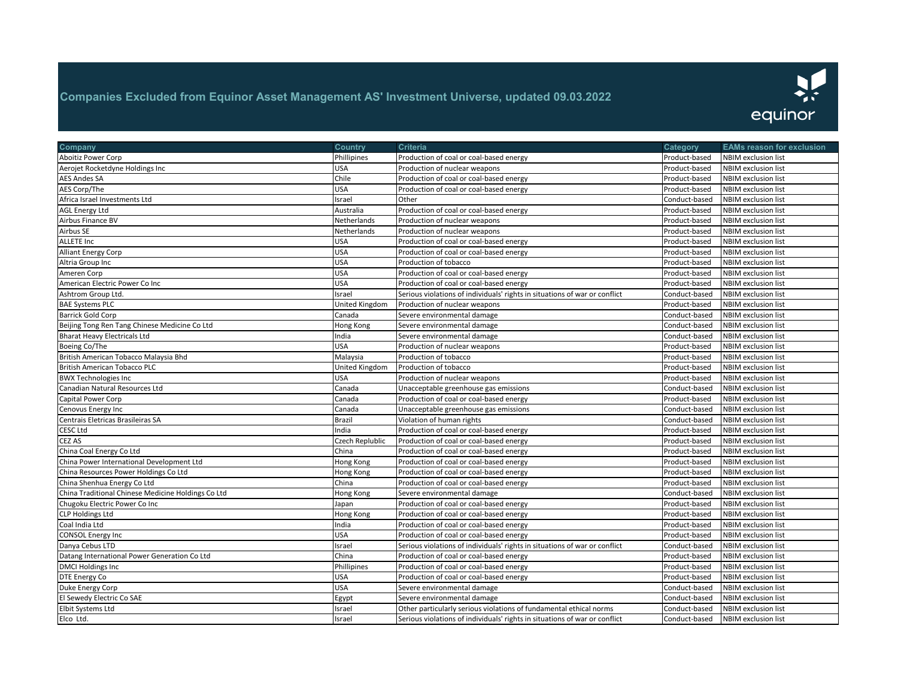

| Company                                            | <b>Country</b>        | Criteria                                                                   | Category      | <b>EAMs reason for exclusion</b> |
|----------------------------------------------------|-----------------------|----------------------------------------------------------------------------|---------------|----------------------------------|
| Aboitiz Power Corp                                 | Phillipines           | Production of coal or coal-based energy                                    | Product-based | <b>NBIM</b> exclusion list       |
| Aerojet Rocketdyne Holdings Inc                    | <b>USA</b>            | Production of nuclear weapons                                              | Product-based | NBIM exclusion list              |
| <b>AES Andes SA</b>                                | Chile                 | Production of coal or coal-based energy                                    | Product-based | <b>NBIM</b> exclusion list       |
| AES Corp/The                                       | <b>USA</b>            | Production of coal or coal-based energy                                    | Product-based | <b>NBIM</b> exclusion list       |
| Africa Israel Investments Ltd                      | Israel                | Other                                                                      | Conduct-based | NBIM exclusion list              |
| <b>AGL Energy Ltd</b>                              | Australia             | Production of coal or coal-based energy                                    | Product-based | NBIM exclusion list              |
| Airbus Finance BV                                  | Netherlands           | Production of nuclear weapons                                              | Product-based | <b>NBIM</b> exclusion list       |
| Airbus SE                                          | Netherlands           | Production of nuclear weapons                                              | Product-based | <b>NBIM</b> exclusion list       |
| ALLETE Inc                                         | <b>USA</b>            | Production of coal or coal-based energy                                    | Product-based | <b>NBIM exclusion list</b>       |
| <b>Alliant Energy Corp</b>                         | <b>USA</b>            | Production of coal or coal-based energy                                    | Product-based | NBIM exclusion list              |
| Altria Group Inc                                   | <b>USA</b>            | Production of tobacco                                                      | Product-based | NBIM exclusion list              |
| Ameren Corp                                        | <b>USA</b>            | Production of coal or coal-based energy                                    | Product-based | <b>NBIM</b> exclusion list       |
| American Electric Power Co Inc                     | <b>USA</b>            | Production of coal or coal-based energy                                    | Product-based | <b>NBIM exclusion list</b>       |
| Ashtrom Group Ltd.                                 | Israel                | Serious violations of individuals' rights in situations of war or conflict | Conduct-based | NBIM exclusion list              |
| <b>BAE Systems PLC</b>                             | United Kingdom        | Production of nuclear weapons                                              | Product-based | NBIM exclusion list              |
| Barrick Gold Corp                                  | Canada                | Severe environmental damage                                                | Conduct-based | <b>NBIM</b> exclusion list       |
| Beijing Tong Ren Tang Chinese Medicine Co Ltd      | Hong Kong             | Severe environmental damage                                                | Conduct-based | <b>NBIM</b> exclusion list       |
| <b>Bharat Heavy Electricals Ltd</b>                | India                 | Severe environmental damage                                                | Conduct-based | NBIM exclusion list              |
| Boeing Co/The                                      | <b>USA</b>            | Production of nuclear weapons                                              | Product-based | <b>NBIM</b> exclusion list       |
|                                                    |                       |                                                                            | Product-based | <b>NBIM</b> exclusion list       |
| British American Tobacco Malaysia Bhd              | Malaysia              | Production of tobacco                                                      |               |                                  |
| <b>British American Tobacco PLC</b>                | <b>United Kingdom</b> | Production of tobacco                                                      | Product-based | <b>NBIM</b> exclusion list       |
| <b>BWX Technologies Inc</b>                        | <b>USA</b>            | Production of nuclear weapons                                              | Product-based | <b>NBIM</b> exclusion list       |
| Canadian Natural Resources Ltd                     | Canada                | Unacceptable greenhouse gas emissions                                      | Conduct-based | <b>NBIM</b> exclusion list       |
| Capital Power Corp                                 | Canada                | Production of coal or coal-based energy                                    | Product-based | <b>NBIM</b> exclusion list       |
| Cenovus Energy Inc                                 | Canada                | Unacceptable greenhouse gas emissions                                      | Conduct-based | NBIM exclusion list              |
| Centrais Eletricas Brasileiras SA                  | <b>Brazil</b>         | Violation of human rights                                                  | Conduct-based | <b>NBIM exclusion list</b>       |
| CESC Ltd                                           | India                 | Production of coal or coal-based energy                                    | Product-based | NBIM exclusion list              |
| CEZ AS                                             | Czech Replublic       | Production of coal or coal-based energy                                    | Product-based | <b>NBIM</b> exclusion list       |
| China Coal Energy Co Ltd                           | China                 | Production of coal or coal-based energy                                    | Product-based | <b>NBIM</b> exclusion list       |
| China Power International Development Ltd          | <b>Hong Kong</b>      | Production of coal or coal-based energy                                    | Product-based | <b>NBIM</b> exclusion list       |
| China Resources Power Holdings Co Ltd              | Hong Kong             | Production of coal or coal-based energy                                    | Product-based | NBIM exclusion list              |
| China Shenhua Energy Co Ltd                        | China                 | Production of coal or coal-based energy                                    | Product-based | NBIM exclusion list              |
| China Traditional Chinese Medicine Holdings Co Ltd | Hong Kong             | Severe environmental damage                                                | Conduct-based | <b>NBIM</b> exclusion list       |
| Chugoku Electric Power Co Inc                      | Japan                 | Production of coal or coal-based energy                                    | Product-based | <b>NBIM exclusion list</b>       |
| <b>CLP Holdings Ltd</b>                            | Hong Kong             | Production of coal or coal-based energy                                    | Product-based | NBIM exclusion list              |
| Coal India Ltd                                     | India                 | Production of coal or coal-based energy                                    | Product-based | <b>NBIM</b> exclusion list       |
| <b>CONSOL Energy Inc</b>                           | <b>USA</b>            | Production of coal or coal-based energy                                    | Product-based | <b>NBIM</b> exclusion list       |
| Danya Cebus LTD                                    | Israel                | Serious violations of individuals' rights in situations of war or conflict | Conduct-based | <b>NBIM</b> exclusion list       |
| Datang International Power Generation Co Ltd       | China                 | Production of coal or coal-based energy                                    | Product-based | <b>NBIM</b> exclusion list       |
| <b>DMCI Holdings Inc</b>                           | Phillipines           | Production of coal or coal-based energy                                    | Product-based | <b>NBIM</b> exclusion list       |
| DTE Energy Co                                      | <b>USA</b>            | Production of coal or coal-based energy                                    | Product-based | <b>NBIM</b> exclusion list       |
| Duke Energy Corp                                   | <b>USA</b>            | Severe environmental damage                                                | Conduct-based | <b>NBIM</b> exclusion list       |
| El Sewedy Electric Co SAE                          | Egypt                 | Severe environmental damage                                                | Conduct-based | <b>NBIM</b> exclusion list       |
| Elbit Systems Ltd                                  | Israel                | Other particularly serious violations of fundamental ethical norms         | Conduct-based | <b>NBIM</b> exclusion list       |
| Elco Ltd.                                          | Israel                | Serious violations of individuals' rights in situations of war or conflict | Conduct-based | <b>NBIM</b> exclusion list       |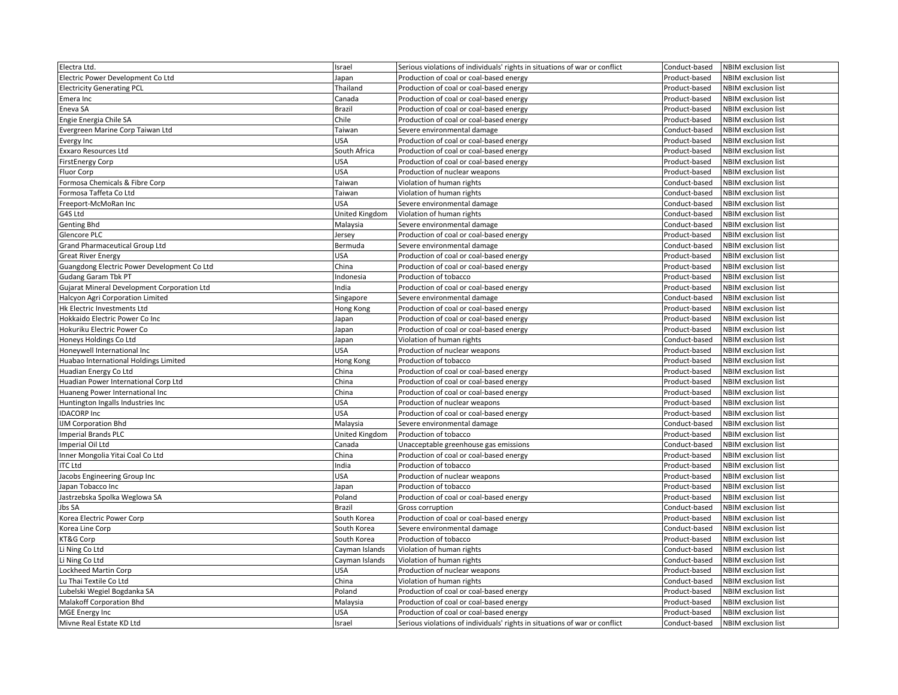| Electra Ltd.                                | Israel         | Serious violations of individuals' rights in situations of war or conflict | Conduct-based | NBIM exclusion list        |
|---------------------------------------------|----------------|----------------------------------------------------------------------------|---------------|----------------------------|
| Electric Power Development Co Ltd           | Japan          | Production of coal or coal-based energy                                    | Product-based | <b>NBIM</b> exclusion list |
| <b>Electricity Generating PCL</b>           | Thailand       | Production of coal or coal-based energy                                    | Product-based | NBIM exclusion list        |
| Emera Inc                                   | Canada         | Production of coal or coal-based energy                                    | Product-based | NBIM exclusion list        |
| Eneva SA                                    | Brazil         | Production of coal or coal-based energy                                    | Product-based | <b>NBIM</b> exclusion list |
| Engie Energia Chile SA                      | Chile          | Production of coal or coal-based energy                                    | Product-based | <b>NBIM</b> exclusion list |
| Evergreen Marine Corp Taiwan Ltd            | Taiwan         | Severe environmental damage                                                | Conduct-based | NBIM exclusion list        |
| <b>Evergy Inc</b>                           | USA            | Production of coal or coal-based energy                                    | Product-based | <b>NBIM</b> exclusion list |
| Exxaro Resources Ltd                        | South Africa   | Production of coal or coal-based energy                                    | Product-based | NBIM exclusion list        |
| <b>FirstEnergy Corp</b>                     | USA            | Production of coal or coal-based energy                                    | Product-based | NBIM exclusion list        |
| Fluor Corp                                  | USA            | Production of nuclear weapons                                              | Product-based | NBIM exclusion list        |
| Formosa Chemicals & Fibre Corp              | Taiwan         | Violation of human rights                                                  | Conduct-based | <b>NBIM</b> exclusion list |
| Formosa Taffeta Co Ltd                      | Taiwan         | Violation of human rights                                                  | Conduct-based | <b>NBIM</b> exclusion list |
| Freeport-McMoRan Inc                        | USA            | Severe environmental damage                                                | Conduct-based | NBIM exclusion list        |
| G4S Ltd                                     | United Kingdom | Violation of human rights                                                  | Conduct-based | <b>NBIM</b> exclusion list |
| Genting Bhd                                 | Malaysia       | Severe environmental damage                                                | Conduct-based | <b>NBIM</b> exclusion list |
| Glencore PLC                                | Jersey         | Production of coal or coal-based energy                                    | Product-based | <b>NBIM</b> exclusion list |
| <b>Grand Pharmaceutical Group Ltd</b>       | Bermuda        | Severe environmental damage                                                | Conduct-based | <b>NBIM</b> exclusion list |
| <b>Great River Energy</b>                   | USA            | Production of coal or coal-based energy                                    | Product-based | NBIM exclusion list        |
| Guangdong Electric Power Development Co Ltd | China          | Production of coal or coal-based energy                                    | Product-based | NBIM exclusion list        |
| <b>Gudang Garam Tbk PT</b>                  | ndonesia       | Production of tobacco                                                      | Product-based | <b>NBIM</b> exclusion list |
| Gujarat Mineral Development Corporation Ltd | ndia           | Production of coal or coal-based energy                                    | Product-based | <b>NBIM</b> exclusion list |
| Halcyon Agri Corporation Limited            | Singapore      | Severe environmental damage                                                | Conduct-based | NBIM exclusion list        |
| Hk Electric Investments Ltd                 | Hong Kong      | Production of coal or coal-based energy                                    | Product-based | NBIM exclusion list        |
| Hokkaido Electric Power Co Inc              | Japan          | Production of coal or coal-based energy                                    | Product-based | <b>NBIM</b> exclusion list |
| Hokuriku Electric Power Co                  | Japan          | Production of coal or coal-based energy                                    | Product-based | <b>NBIM</b> exclusion list |
| Honeys Holdings Co Ltd                      | Japan          | Violation of human rights                                                  | Conduct-based | NBIM exclusion list        |
| Honeywell International Inc                 | USA            | Production of nuclear weapons                                              | Product-based | <b>NBIM</b> exclusion list |
| Huabao International Holdings Limited       | Hong Kong      | Production of tobacco                                                      | Product-based | NBIM exclusion list        |
| Huadian Energy Co Ltd                       | China          | Production of coal or coal-based energy                                    | Product-based | <b>NBIM</b> exclusion list |
| Huadian Power International Corp Ltd        | China          | Production of coal or coal-based energy                                    | Product-based | <b>NBIM</b> exclusion list |
| Huaneng Power International Inc             | China          | Production of coal or coal-based energy                                    | Product-based | NBIM exclusion list        |
| Huntington Ingalls Industries Inc           | USA            | Production of nuclear weapons                                              | Product-based | NBIM exclusion list        |
| <b>IDACORP Inc</b>                          | USA            | Production of coal or coal-based energy                                    | Product-based | <b>NBIM</b> exclusion list |
| <b>IJM Corporation Bhd</b>                  | Malaysia       | Severe environmental damage                                                | Conduct-based | <b>NBIM</b> exclusion list |
| <b>Imperial Brands PLC</b>                  | United Kingdom | Production of tobacco                                                      | Product-based | <b>NBIM</b> exclusion list |
| Imperial Oil Ltd                            | Canada         | Unacceptable greenhouse gas emissions                                      | Conduct-based | <b>NBIM</b> exclusion list |
| Inner Mongolia Yitai Coal Co Ltd            | China          | Production of coal or coal-based energy                                    | Product-based | <b>NBIM</b> exclusion list |
| <b>ITC Ltd</b>                              | ndia           | Production of tobacco                                                      | Product-based | <b>NBIM</b> exclusion list |
| Jacobs Engineering Group Inc                | USA            | Production of nuclear weapons                                              | Product-based | <b>NBIM</b> exclusion list |
| Japan Tobacco Inc                           | Japan          | Production of tobacco                                                      | Product-based | <b>NBIM</b> exclusion list |
| Jastrzebska Spolka Weglowa SA               | Poland         | Production of coal or coal-based energy                                    | Product-based | <b>NBIM</b> exclusion list |
| lbs SA                                      | Brazil         | Gross corruption                                                           | Conduct-based | <b>NBIM</b> exclusion list |
| Korea Electric Power Corp                   | South Korea    | Production of coal or coal-based energy                                    | Product-based | <b>NBIM</b> exclusion list |
| Korea Line Corp                             | South Korea    | Severe environmental damage                                                | Conduct-based | NBIM exclusion list        |
| KT&G Corp                                   | South Korea    | Production of tobacco                                                      | Product-based | NBIM exclusion list        |
| Li Ning Co Ltd                              | Cayman Islands | Violation of human rights                                                  | Conduct-based | <b>NBIM</b> exclusion list |
| Li Ning Co Ltd                              | Cayman Islands | Violation of human rights                                                  | Conduct-based | <b>NBIM</b> exclusion list |
| Lockheed Martin Corp                        | USA            | Production of nuclear weapons                                              | Product-based | <b>NBIM</b> exclusion list |
| Lu Thai Textile Co Ltd                      | China          | Violation of human rights                                                  | Conduct-based | NBIM exclusion list        |
| Lubelski Wegiel Bogdanka SA                 | Poland         | Production of coal or coal-based energy                                    | Product-based | <b>NBIM</b> exclusion list |
| Malakoff Corporation Bhd                    | Malaysia       | Production of coal or coal-based energy                                    | Product-based | NBIM exclusion list        |
| <b>MGE Energy Inc</b>                       | USA            | Production of coal or coal-based energy                                    | Product-based | <b>NBIM</b> exclusion list |
| Mivne Real Estate KD Ltd                    | Israel         | Serious violations of individuals' rights in situations of war or conflict | Conduct-based | <b>NBIM</b> exclusion list |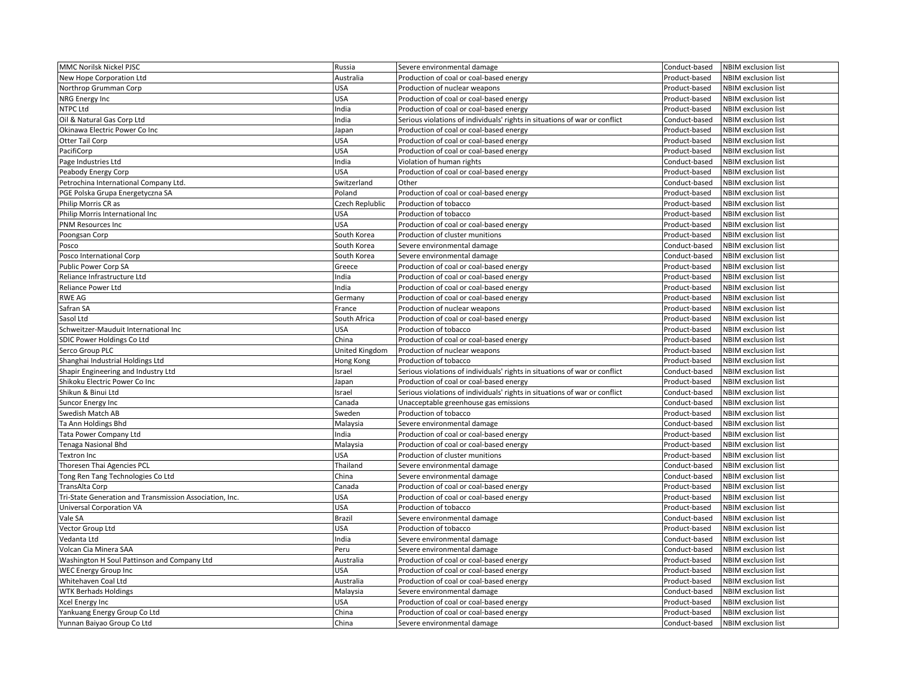| MMC Norilsk Nickel PJSC                                 | Russia          | Severe environmental damage                                                | Conduct-based | <b>NBIM</b> exclusion list |
|---------------------------------------------------------|-----------------|----------------------------------------------------------------------------|---------------|----------------------------|
| New Hope Corporation Ltd                                | Australia       | Production of coal or coal-based energy                                    | Product-based | <b>NBIM</b> exclusion list |
| Northrop Grumman Corp                                   | <b>USA</b>      | Production of nuclear weapons                                              | Product-based | <b>NBIM</b> exclusion list |
| NRG Energy Inc                                          | <b>USA</b>      | Production of coal or coal-based energy                                    | Product-based | <b>NBIM</b> exclusion list |
| NTPC Ltd                                                | India           | Production of coal or coal-based energy                                    | Product-based | <b>NBIM</b> exclusion list |
| Oil & Natural Gas Corp Ltd                              | India           | Serious violations of individuals' rights in situations of war or conflict | Conduct-based | <b>NBIM</b> exclusion list |
| Okinawa Electric Power Co Inc                           | Japan           | Production of coal or coal-based energy                                    | Product-based | <b>NBIM</b> exclusion list |
| Otter Tail Corp                                         | <b>USA</b>      | Production of coal or coal-based energy                                    | Product-based | <b>NBIM</b> exclusion list |
| PacifiCorp                                              | <b>USA</b>      | Production of coal or coal-based energy                                    | Product-based | <b>NBIM</b> exclusion list |
| Page Industries Ltd                                     | India           | Violation of human rights                                                  | Conduct-based | <b>NBIM</b> exclusion list |
| Peabody Energy Corp                                     | <b>USA</b>      | Production of coal or coal-based energy                                    | Product-based | <b>NBIM</b> exclusion list |
| Petrochina International Company Ltd.                   | Switzerland     | Other                                                                      | Conduct-based | NBIM exclusion list        |
| PGE Polska Grupa Energetyczna SA                        | Poland          | Production of coal or coal-based energy                                    | Product-based | <b>NBIM</b> exclusion list |
| Philip Morris CR as                                     | Czech Replublic | Production of tobacco                                                      | Product-based | <b>NBIM</b> exclusion list |
| Philip Morris International Inc                         | <b>USA</b>      | Production of tobacco                                                      | Product-based | <b>NBIM</b> exclusion list |
| <b>PNM Resources Inc</b>                                | <b>USA</b>      | Production of coal or coal-based energy                                    | Product-based | <b>NBIM</b> exclusion list |
| Poongsan Corp                                           | South Korea     | Production of cluster munitions                                            | Product-based | <b>NBIM</b> exclusion list |
| Posco                                                   | South Korea     | Severe environmental damage                                                | Conduct-based | <b>NBIM</b> exclusion list |
| Posco International Corp                                | South Korea     | Severe environmental damage                                                | Conduct-based | <b>NBIM</b> exclusion list |
| Public Power Corp SA                                    | Greece          | Production of coal or coal-based energy                                    | Product-based | <b>NBIM</b> exclusion list |
| Reliance Infrastructure Ltd                             | India           | Production of coal or coal-based energy                                    | Product-based | <b>NBIM</b> exclusion list |
| Reliance Power Ltd                                      | India           | Production of coal or coal-based energy                                    | Product-based | <b>NBIM</b> exclusion list |
| RWE AG                                                  | Germany         | Production of coal or coal-based energy                                    | Product-based | <b>NBIM</b> exclusion list |
| Safran SA                                               | France          | Production of nuclear weapons                                              | Product-based | <b>NBIM</b> exclusion list |
| Sasol Ltd                                               | South Africa    | Production of coal or coal-based energy                                    | Product-based | <b>NBIM</b> exclusion list |
| Schweitzer-Mauduit International Inc                    | <b>USA</b>      | Production of tobacco                                                      | Product-based | <b>NBIM</b> exclusion list |
| SDIC Power Holdings Co Ltd                              | China           | Production of coal or coal-based energy                                    | Product-based | <b>NBIM</b> exclusion list |
| Serco Group PLC                                         | United Kingdom  | Production of nuclear weapons                                              | Product-based | <b>NBIM</b> exclusion list |
| Shanghai Industrial Holdings Ltd                        | Hong Kong       | Production of tobacco                                                      | Product-based | <b>NBIM</b> exclusion list |
| Shapir Engineering and Industry Ltd                     | Israel          | Serious violations of individuals' rights in situations of war or conflict | Conduct-based | <b>NBIM</b> exclusion list |
| Shikoku Electric Power Co Inc                           | Japan           | Production of coal or coal-based energy                                    | Product-based | <b>NBIM</b> exclusion list |
| Shikun & Binui Ltd                                      | Israel          | Serious violations of individuals' rights in situations of war or conflict | Conduct-based | NBIM exclusion list        |
| Suncor Energy Inc                                       | Canada          | Unacceptable greenhouse gas emissions                                      | Conduct-based | <b>NBIM</b> exclusion list |
| Swedish Match AB                                        | Sweden          | Production of tobacco                                                      | Product-based | <b>NBIM</b> exclusion list |
| Ta Ann Holdings Bhd                                     | Malaysia        | Severe environmental damage                                                | Conduct-based | <b>NBIM</b> exclusion list |
| Tata Power Company Ltd                                  | India           | Production of coal or coal-based energy                                    | Product-based | <b>NBIM</b> exclusion list |
| Tenaga Nasional Bhd                                     | Malaysia        | Production of coal or coal-based energy                                    | Product-based | <b>NBIM</b> exclusion list |
| Textron Inc                                             | USA             | Production of cluster munitions                                            | Product-based | <b>NBIM</b> exclusion list |
| Thoresen Thai Agencies PCL                              | Thailand        | Severe environmental damage                                                | Conduct-based | <b>NBIM</b> exclusion list |
| Tong Ren Tang Technologies Co Ltd                       | China           | Severe environmental damage                                                | Conduct-based | <b>NBIM</b> exclusion list |
| TransAlta Corp                                          | Canada          | Production of coal or coal-based energy                                    | Product-based | <b>NBIM</b> exclusion list |
| Tri-State Generation and Transmission Association, Inc. | <b>USA</b>      | Production of coal or coal-based energy                                    | Product-based | <b>NBIM</b> exclusion list |
| <b>Universal Corporation VA</b>                         | <b>USA</b>      | Production of tobacco                                                      | Product-based | <b>NBIM</b> exclusion list |
| Vale SA                                                 | <b>Brazil</b>   | Severe environmental damage                                                | Conduct-based | <b>NBIM</b> exclusion list |
| Vector Group Ltd                                        | <b>USA</b>      | Production of tobacco                                                      | Product-based | <b>NBIM</b> exclusion list |
| Vedanta Ltd                                             | India           | Severe environmental damage                                                | Conduct-based | <b>NBIM</b> exclusion list |
| Volcan Cia Minera SAA                                   | Peru            | Severe environmental damage                                                | Conduct-based | <b>NBIM</b> exclusion list |
| Washington H Soul Pattinson and Company Ltd             | Australia       | Production of coal or coal-based energy                                    | Product-based | <b>NBIM</b> exclusion list |
| <b>WEC Energy Group Inc</b>                             | USA             | Production of coal or coal-based energy                                    | Product-based | NBIM exclusion list        |
| Whitehaven Coal Ltd                                     | Australia       | Production of coal or coal-based energy                                    | Product-based | <b>NBIM</b> exclusion list |
| <b>WTK Berhads Holdings</b>                             | Malaysia        | Severe environmental damage                                                | Conduct-based | <b>NBIM</b> exclusion list |
| Xcel Energy Inc                                         | <b>USA</b>      | Production of coal or coal-based energy                                    | Product-based | <b>NBIM</b> exclusion list |
| Yankuang Energy Group Co Ltd                            | China           | Production of coal or coal-based energy                                    | Product-based | NBIM exclusion list        |
| Yunnan Baiyao Group Co Ltd                              | China           | Severe environmental damage                                                | Conduct-based | <b>NBIM</b> exclusion list |